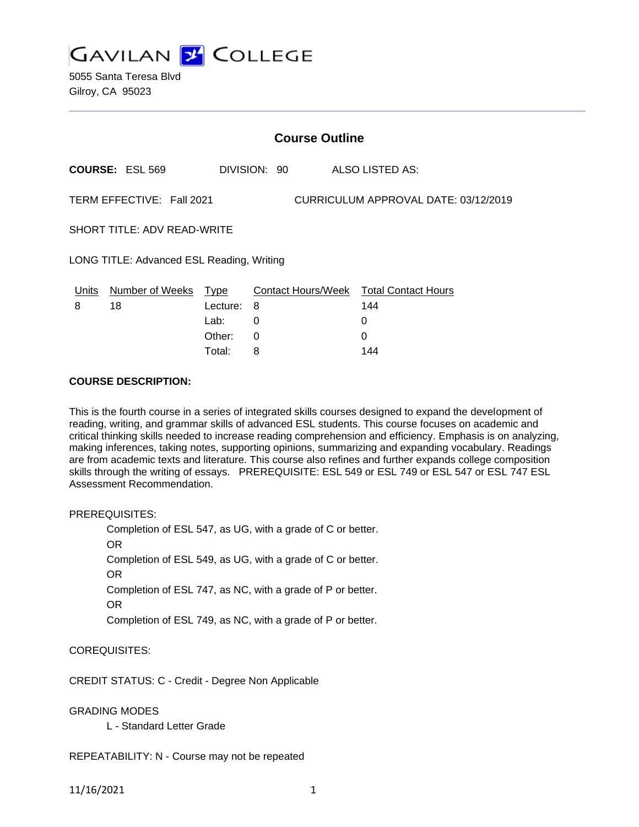

5055 Santa Teresa Blvd Gilroy, CA 95023

|                                                                   | <b>Course Outline</b>  |                          |              |  |                                                    |  |  |
|-------------------------------------------------------------------|------------------------|--------------------------|--------------|--|----------------------------------------------------|--|--|
|                                                                   | <b>COURSE: ESL 569</b> |                          | DIVISION: 90 |  | ALSO LISTED AS:                                    |  |  |
| TERM EFFECTIVE: Fall 2021<br>CURRICULUM APPROVAL DATE: 03/12/2019 |                        |                          |              |  |                                                    |  |  |
| <b>SHORT TITLE: ADV READ-WRITE</b>                                |                        |                          |              |  |                                                    |  |  |
| LONG TITLE: Advanced ESL Reading, Writing                         |                        |                          |              |  |                                                    |  |  |
| Units<br>8                                                        | Number of Weeks<br>18  | Type<br>Lecture:<br>Lab: | 8<br>0       |  | Contact Hours/Week Total Contact Hours<br>144<br>0 |  |  |

Other: 0 0 Total: 8 144

#### **COURSE DESCRIPTION:**

This is the fourth course in a series of integrated skills courses designed to expand the development of reading, writing, and grammar skills of advanced ESL students. This course focuses on academic and critical thinking skills needed to increase reading comprehension and efficiency. Emphasis is on analyzing, making inferences, taking notes, supporting opinions, summarizing and expanding vocabulary. Readings are from academic texts and literature. This course also refines and further expands college composition skills through the writing of essays. PREREQUISITE: ESL 549 or ESL 749 or ESL 547 or ESL 747 ESL Assessment Recommendation.

PREREQUISITES:

Completion of ESL 547, as UG, with a grade of C or better. OR Completion of ESL 549, as UG, with a grade of C or better. OR Completion of ESL 747, as NC, with a grade of P or better. OR Completion of ESL 749, as NC, with a grade of P or better.

COREQUISITES:

CREDIT STATUS: C - Credit - Degree Non Applicable

GRADING MODES

L - Standard Letter Grade

REPEATABILITY: N - Course may not be repeated

11/16/2021 1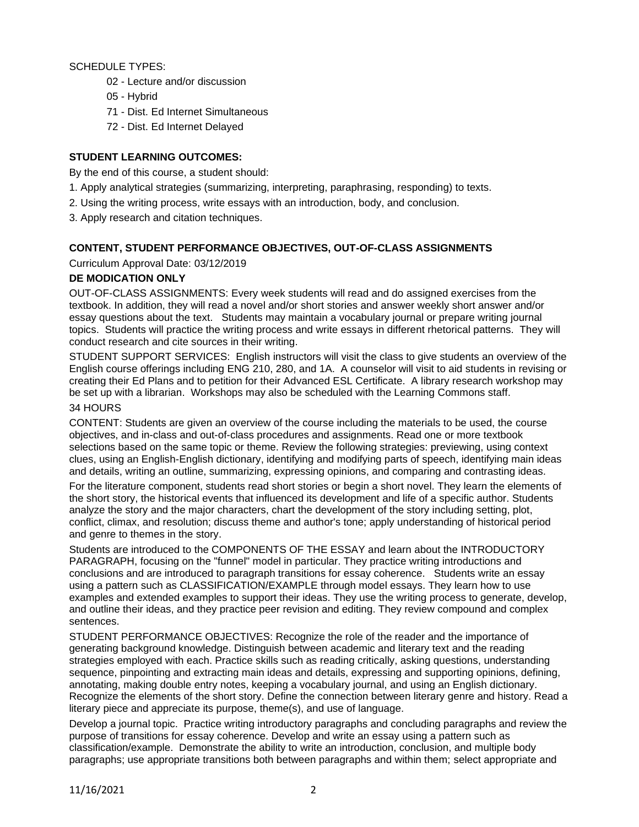SCHEDULE TYPES:

- 02 Lecture and/or discussion
- 05 Hybrid
- 71 Dist. Ed Internet Simultaneous
- 72 Dist. Ed Internet Delayed

## **STUDENT LEARNING OUTCOMES:**

By the end of this course, a student should:

- 1. Apply analytical strategies (summarizing, interpreting, paraphrasing, responding) to texts.
- 2. Using the writing process, write essays with an introduction, body, and conclusion.
- 3. Apply research and citation techniques.

# **CONTENT, STUDENT PERFORMANCE OBJECTIVES, OUT-OF-CLASS ASSIGNMENTS**

Curriculum Approval Date: 03/12/2019

## **DE MODICATION ONLY**

OUT-OF-CLASS ASSIGNMENTS: Every week students will read and do assigned exercises from the textbook. In addition, they will read a novel and/or short stories and answer weekly short answer and/or essay questions about the text. Students may maintain a vocabulary journal or prepare writing journal topics. Students will practice the writing process and write essays in different rhetorical patterns. They will conduct research and cite sources in their writing.

STUDENT SUPPORT SERVICES: English instructors will visit the class to give students an overview of the English course offerings including ENG 210, 280, and 1A. A counselor will visit to aid students in revising or creating their Ed Plans and to petition for their Advanced ESL Certificate. A library research workshop may be set up with a librarian. Workshops may also be scheduled with the Learning Commons staff.

### 34 HOURS

CONTENT: Students are given an overview of the course including the materials to be used, the course objectives, and in-class and out-of-class procedures and assignments. Read one or more textbook selections based on the same topic or theme. Review the following strategies: previewing, using context clues, using an English-English dictionary, identifying and modifying parts of speech, identifying main ideas and details, writing an outline, summarizing, expressing opinions, and comparing and contrasting ideas.

For the literature component, students read short stories or begin a short novel. They learn the elements of the short story, the historical events that influenced its development and life of a specific author. Students analyze the story and the major characters, chart the development of the story including setting, plot, conflict, climax, and resolution; discuss theme and author's tone; apply understanding of historical period and genre to themes in the story.

Students are introduced to the COMPONENTS OF THE ESSAY and learn about the INTRODUCTORY PARAGRAPH, focusing on the "funnel" model in particular. They practice writing introductions and conclusions and are introduced to paragraph transitions for essay coherence. Students write an essay using a pattern such as CLASSIFICATION/EXAMPLE through model essays. They learn how to use examples and extended examples to support their ideas. They use the writing process to generate, develop, and outline their ideas, and they practice peer revision and editing. They review compound and complex sentences.

STUDENT PERFORMANCE OBJECTIVES: Recognize the role of the reader and the importance of generating background knowledge. Distinguish between academic and literary text and the reading strategies employed with each. Practice skills such as reading critically, asking questions, understanding sequence, pinpointing and extracting main ideas and details, expressing and supporting opinions, defining, annotating, making double entry notes, keeping a vocabulary journal, and using an English dictionary. Recognize the elements of the short story. Define the connection between literary genre and history. Read a literary piece and appreciate its purpose, theme(s), and use of language.

Develop a journal topic. Practice writing introductory paragraphs and concluding paragraphs and review the purpose of transitions for essay coherence. Develop and write an essay using a pattern such as classification/example. Demonstrate the ability to write an introduction, conclusion, and multiple body paragraphs; use appropriate transitions both between paragraphs and within them; select appropriate and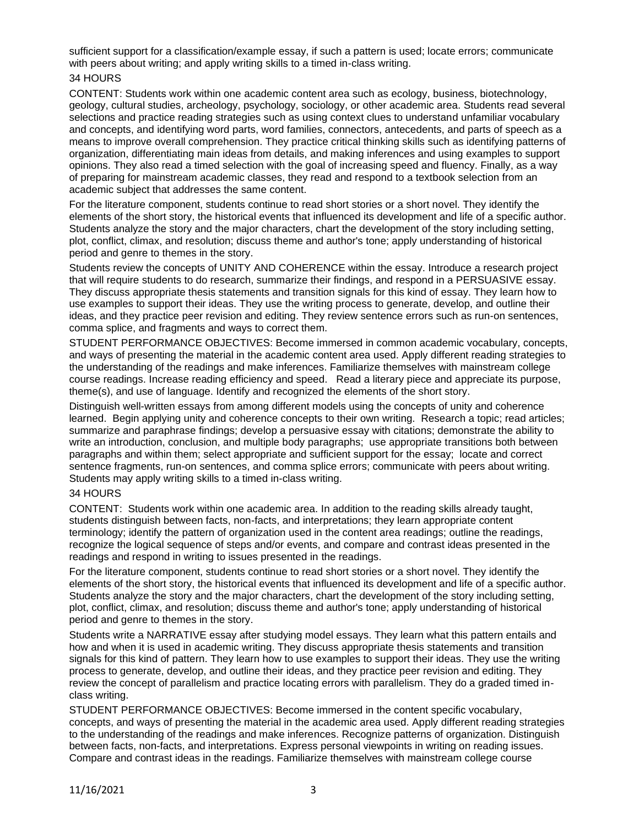sufficient support for a classification/example essay, if such a pattern is used; locate errors; communicate with peers about writing; and apply writing skills to a timed in-class writing.

#### 34 HOURS

CONTENT: Students work within one academic content area such as ecology, business, biotechnology, geology, cultural studies, archeology, psychology, sociology, or other academic area. Students read several selections and practice reading strategies such as using context clues to understand unfamiliar vocabulary and concepts, and identifying word parts, word families, connectors, antecedents, and parts of speech as a means to improve overall comprehension. They practice critical thinking skills such as identifying patterns of organization, differentiating main ideas from details, and making inferences and using examples to support opinions. They also read a timed selection with the goal of increasing speed and fluency. Finally, as a way of preparing for mainstream academic classes, they read and respond to a textbook selection from an academic subject that addresses the same content.

For the literature component, students continue to read short stories or a short novel. They identify the elements of the short story, the historical events that influenced its development and life of a specific author. Students analyze the story and the major characters, chart the development of the story including setting, plot, conflict, climax, and resolution; discuss theme and author's tone; apply understanding of historical period and genre to themes in the story.

Students review the concepts of UNITY AND COHERENCE within the essay. Introduce a research project that will require students to do research, summarize their findings, and respond in a PERSUASIVE essay. They discuss appropriate thesis statements and transition signals for this kind of essay. They learn how to use examples to support their ideas. They use the writing process to generate, develop, and outline their ideas, and they practice peer revision and editing. They review sentence errors such as run-on sentences, comma splice, and fragments and ways to correct them.

STUDENT PERFORMANCE OBJECTIVES: Become immersed in common academic vocabulary, concepts, and ways of presenting the material in the academic content area used. Apply different reading strategies to the understanding of the readings and make inferences. Familiarize themselves with mainstream college course readings. Increase reading efficiency and speed. Read a literary piece and appreciate its purpose, theme(s), and use of language. Identify and recognized the elements of the short story.

Distinguish well-written essays from among different models using the concepts of unity and coherence learned. Begin applying unity and coherence concepts to their own writing. Research a topic; read articles; summarize and paraphrase findings; develop a persuasive essay with citations; demonstrate the ability to write an introduction, conclusion, and multiple body paragraphs; use appropriate transitions both between paragraphs and within them; select appropriate and sufficient support for the essay; locate and correct sentence fragments, run-on sentences, and comma splice errors; communicate with peers about writing. Students may apply writing skills to a timed in-class writing.

#### 34 HOURS

CONTENT: Students work within one academic area. In addition to the reading skills already taught, students distinguish between facts, non-facts, and interpretations; they learn appropriate content terminology; identify the pattern of organization used in the content area readings; outline the readings, recognize the logical sequence of steps and/or events, and compare and contrast ideas presented in the readings and respond in writing to issues presented in the readings.

For the literature component, students continue to read short stories or a short novel. They identify the elements of the short story, the historical events that influenced its development and life of a specific author. Students analyze the story and the major characters, chart the development of the story including setting, plot, conflict, climax, and resolution; discuss theme and author's tone; apply understanding of historical period and genre to themes in the story.

Students write a NARRATIVE essay after studying model essays. They learn what this pattern entails and how and when it is used in academic writing. They discuss appropriate thesis statements and transition signals for this kind of pattern. They learn how to use examples to support their ideas. They use the writing process to generate, develop, and outline their ideas, and they practice peer revision and editing. They review the concept of parallelism and practice locating errors with parallelism. They do a graded timed inclass writing.

STUDENT PERFORMANCE OBJECTIVES: Become immersed in the content specific vocabulary, concepts, and ways of presenting the material in the academic area used. Apply different reading strategies to the understanding of the readings and make inferences. Recognize patterns of organization. Distinguish between facts, non-facts, and interpretations. Express personal viewpoints in writing on reading issues. Compare and contrast ideas in the readings. Familiarize themselves with mainstream college course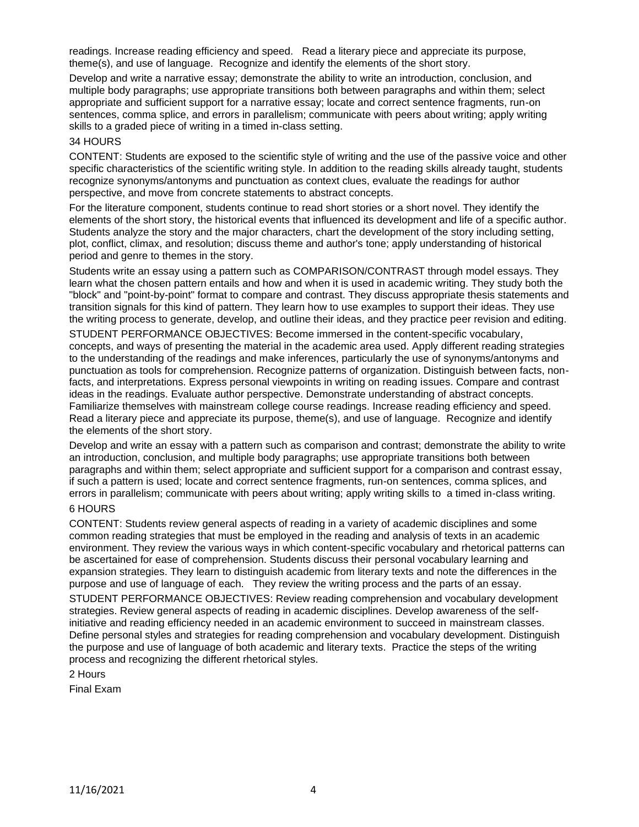readings. Increase reading efficiency and speed. Read a literary piece and appreciate its purpose, theme(s), and use of language. Recognize and identify the elements of the short story.

Develop and write a narrative essay; demonstrate the ability to write an introduction, conclusion, and multiple body paragraphs; use appropriate transitions both between paragraphs and within them; select appropriate and sufficient support for a narrative essay; locate and correct sentence fragments, run-on sentences, comma splice, and errors in parallelism; communicate with peers about writing; apply writing skills to a graded piece of writing in a timed in-class setting.

#### 34 HOURS

CONTENT: Students are exposed to the scientific style of writing and the use of the passive voice and other specific characteristics of the scientific writing style. In addition to the reading skills already taught, students recognize synonyms/antonyms and punctuation as context clues, evaluate the readings for author perspective, and move from concrete statements to abstract concepts.

For the literature component, students continue to read short stories or a short novel. They identify the elements of the short story, the historical events that influenced its development and life of a specific author. Students analyze the story and the major characters, chart the development of the story including setting, plot, conflict, climax, and resolution; discuss theme and author's tone; apply understanding of historical period and genre to themes in the story.

Students write an essay using a pattern such as COMPARISON/CONTRAST through model essays. They learn what the chosen pattern entails and how and when it is used in academic writing. They study both the "block" and "point-by-point" format to compare and contrast. They discuss appropriate thesis statements and transition signals for this kind of pattern. They learn how to use examples to support their ideas. They use the writing process to generate, develop, and outline their ideas, and they practice peer revision and editing.

STUDENT PERFORMANCE OBJECTIVES: Become immersed in the content-specific vocabulary, concepts, and ways of presenting the material in the academic area used. Apply different reading strategies to the understanding of the readings and make inferences, particularly the use of synonyms/antonyms and punctuation as tools for comprehension. Recognize patterns of organization. Distinguish between facts, nonfacts, and interpretations. Express personal viewpoints in writing on reading issues. Compare and contrast ideas in the readings. Evaluate author perspective. Demonstrate understanding of abstract concepts. Familiarize themselves with mainstream college course readings. Increase reading efficiency and speed. Read a literary piece and appreciate its purpose, theme(s), and use of language. Recognize and identify the elements of the short story.

Develop and write an essay with a pattern such as comparison and contrast; demonstrate the ability to write an introduction, conclusion, and multiple body paragraphs; use appropriate transitions both between paragraphs and within them; select appropriate and sufficient support for a comparison and contrast essay, if such a pattern is used; locate and correct sentence fragments, run-on sentences, comma splices, and errors in parallelism; communicate with peers about writing; apply writing skills to a timed in-class writing.

## 6 HOURS

CONTENT: Students review general aspects of reading in a variety of academic disciplines and some common reading strategies that must be employed in the reading and analysis of texts in an academic environment. They review the various ways in which content-specific vocabulary and rhetorical patterns can be ascertained for ease of comprehension. Students discuss their personal vocabulary learning and expansion strategies. They learn to distinguish academic from literary texts and note the differences in the purpose and use of language of each. They review the writing process and the parts of an essay.

STUDENT PERFORMANCE OBJECTIVES: Review reading comprehension and vocabulary development strategies. Review general aspects of reading in academic disciplines. Develop awareness of the selfinitiative and reading efficiency needed in an academic environment to succeed in mainstream classes. Define personal styles and strategies for reading comprehension and vocabulary development. Distinguish the purpose and use of language of both academic and literary texts. Practice the steps of the writing process and recognizing the different rhetorical styles.

2 Hours

Final Exam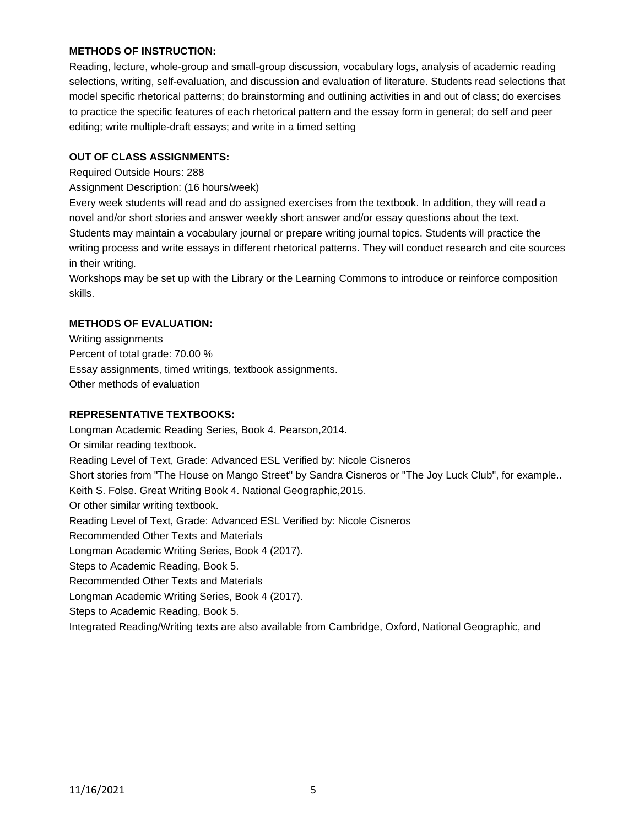## **METHODS OF INSTRUCTION:**

Reading, lecture, whole-group and small-group discussion, vocabulary logs, analysis of academic reading selections, writing, self-evaluation, and discussion and evaluation of literature. Students read selections that model specific rhetorical patterns; do brainstorming and outlining activities in and out of class; do exercises to practice the specific features of each rhetorical pattern and the essay form in general; do self and peer editing; write multiple-draft essays; and write in a timed setting

### **OUT OF CLASS ASSIGNMENTS:**

Required Outside Hours: 288

Assignment Description: (16 hours/week)

Every week students will read and do assigned exercises from the textbook. In addition, they will read a novel and/or short stories and answer weekly short answer and/or essay questions about the text. Students may maintain a vocabulary journal or prepare writing journal topics. Students will practice the writing process and write essays in different rhetorical patterns. They will conduct research and cite sources in their writing.

Workshops may be set up with the Library or the Learning Commons to introduce or reinforce composition skills.

# **METHODS OF EVALUATION:**

Writing assignments Percent of total grade: 70.00 % Essay assignments, timed writings, textbook assignments. Other methods of evaluation

# **REPRESENTATIVE TEXTBOOKS:**

Longman Academic Reading Series, Book 4. Pearson,2014. Or similar reading textbook. Reading Level of Text, Grade: Advanced ESL Verified by: Nicole Cisneros Short stories from "The House on Mango Street" by Sandra Cisneros or "The Joy Luck Club", for example.. Keith S. Folse. Great Writing Book 4. National Geographic,2015. Or other similar writing textbook. Reading Level of Text, Grade: Advanced ESL Verified by: Nicole Cisneros Recommended Other Texts and Materials Longman Academic Writing Series, Book 4 (2017). Steps to Academic Reading, Book 5. Recommended Other Texts and Materials Longman Academic Writing Series, Book 4 (2017). Steps to Academic Reading, Book 5. Integrated Reading/Writing texts are also available from Cambridge, Oxford, National Geographic, and